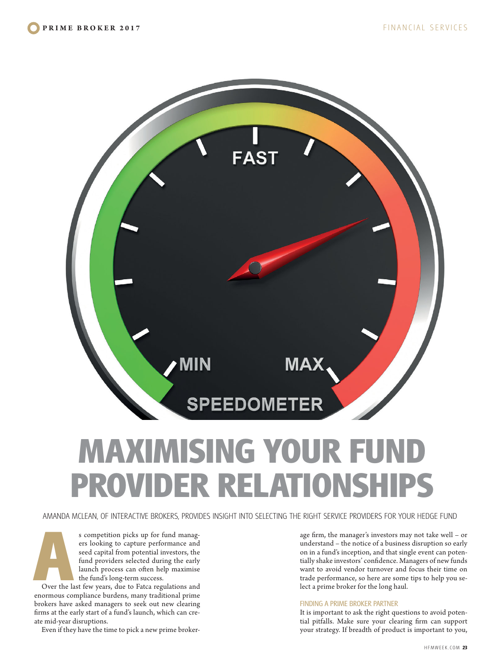

# **MAXIMISING YOUR FUND PROVIDER RELATIONSH**

AMANDA MCLEAN, OF INTERACTIVE BROKERS, PROVIDES INSIGHT INTO SELECTING THE RIGHT SERVICE PROVIDERS FOR YOUR HEDGE FUND

FREE SURFALL AND THE SURFALL AND THE SURFALL AND THE SURFALL AND TOWARD THE SURFALL AND THE SURFALL AND THE SURFALL AND THE SURFALL AND THE SURFALL AND THE SURFALL AND THE SURFALL AND THE SURFALL AND THE SURFALL AND THE SU ers looking to capture performance and seed capital from potential investors, the fund providers selected during the early launch process can often help maximise the fund's long-term success.

enormous compliance burdens, many traditional prime brokers have asked managers to seek out new clearing firms at the early start of a fund's launch, which can create mid-year disruptions.

Even if they have the time to pick a new prime broker-

age firm, the manager's investors may not take well – or understand – the notice of a business disruption so early on in a fund's inception, and that single event can potentially shake investors' confidence. Managers of new funds want to avoid vendor turnover and focus their time on trade performance, so here are some tips to help you select a prime broker for the long haul.

## FINDING A PRIME BROKER PARTNER

It is important to ask the right questions to avoid potential pitfalls. Make sure your clearing firm can support your strategy. If breadth of product is important to you,